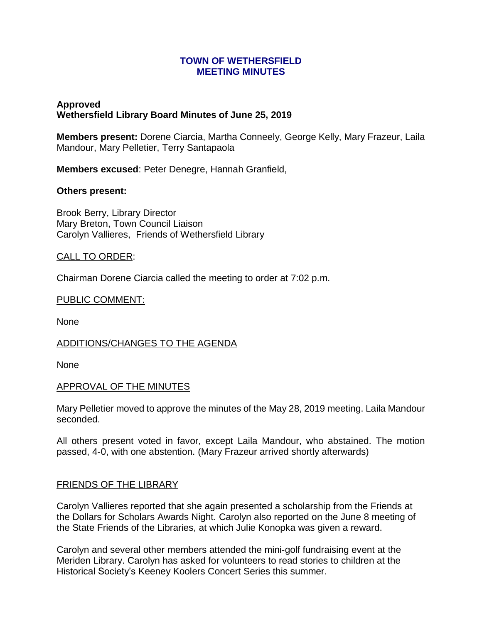### **TOWN OF WETHERSFIELD MEETING MINUTES**

# **Approved Wethersfield Library Board Minutes of June 25, 2019**

**Members present:** Dorene Ciarcia, Martha Conneely, George Kelly, Mary Frazeur, Laila Mandour, Mary Pelletier, Terry Santapaola

**Members excused**: Peter Denegre, Hannah Granfield,

## **Others present:**

Brook Berry, Library Director Mary Breton, Town Council Liaison Carolyn Vallieres, Friends of Wethersfield Library

## CALL TO ORDER:

Chairman Dorene Ciarcia called the meeting to order at 7:02 p.m.

## PUBLIC COMMENT:

None

## ADDITIONS/CHANGES TO THE AGENDA

None

## APPROVAL OF THE MINUTES

Mary Pelletier moved to approve the minutes of the May 28, 2019 meeting. Laila Mandour seconded.

All others present voted in favor, except Laila Mandour, who abstained. The motion passed, 4-0, with one abstention. (Mary Frazeur arrived shortly afterwards)

## FRIENDS OF THE LIBRARY

Carolyn Vallieres reported that she again presented a scholarship from the Friends at the Dollars for Scholars Awards Night. Carolyn also reported on the June 8 meeting of the State Friends of the Libraries, at which Julie Konopka was given a reward.

Carolyn and several other members attended the mini-golf fundraising event at the Meriden Library. Carolyn has asked for volunteers to read stories to children at the Historical Society's Keeney Koolers Concert Series this summer.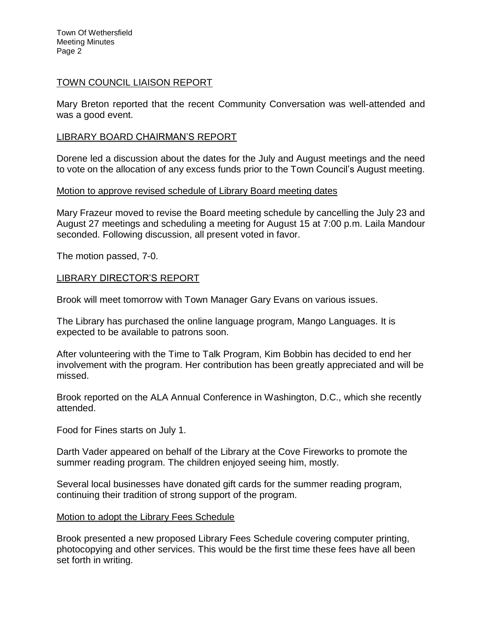Town Of Wethersfield Meeting Minutes Page 2

### TOWN COUNCIL LIAISON REPORT

Mary Breton reported that the recent Community Conversation was well-attended and was a good event.

### LIBRARY BOARD CHAIRMAN'S REPORT

Dorene led a discussion about the dates for the July and August meetings and the need to vote on the allocation of any excess funds prior to the Town Council's August meeting.

### Motion to approve revised schedule of Library Board meeting dates

Mary Frazeur moved to revise the Board meeting schedule by cancelling the July 23 and August 27 meetings and scheduling a meeting for August 15 at 7:00 p.m. Laila Mandour seconded. Following discussion, all present voted in favor.

The motion passed, 7-0.

### LIBRARY DIRECTOR'S REPORT

Brook will meet tomorrow with Town Manager Gary Evans on various issues.

The Library has purchased the online language program, Mango Languages. It is expected to be available to patrons soon.

After volunteering with the Time to Talk Program, Kim Bobbin has decided to end her involvement with the program. Her contribution has been greatly appreciated and will be missed.

Brook reported on the ALA Annual Conference in Washington, D.C., which she recently attended.

Food for Fines starts on July 1.

Darth Vader appeared on behalf of the Library at the Cove Fireworks to promote the summer reading program. The children enjoyed seeing him, mostly.

Several local businesses have donated gift cards for the summer reading program, continuing their tradition of strong support of the program.

#### Motion to adopt the Library Fees Schedule

Brook presented a new proposed Library Fees Schedule covering computer printing, photocopying and other services. This would be the first time these fees have all been set forth in writing.